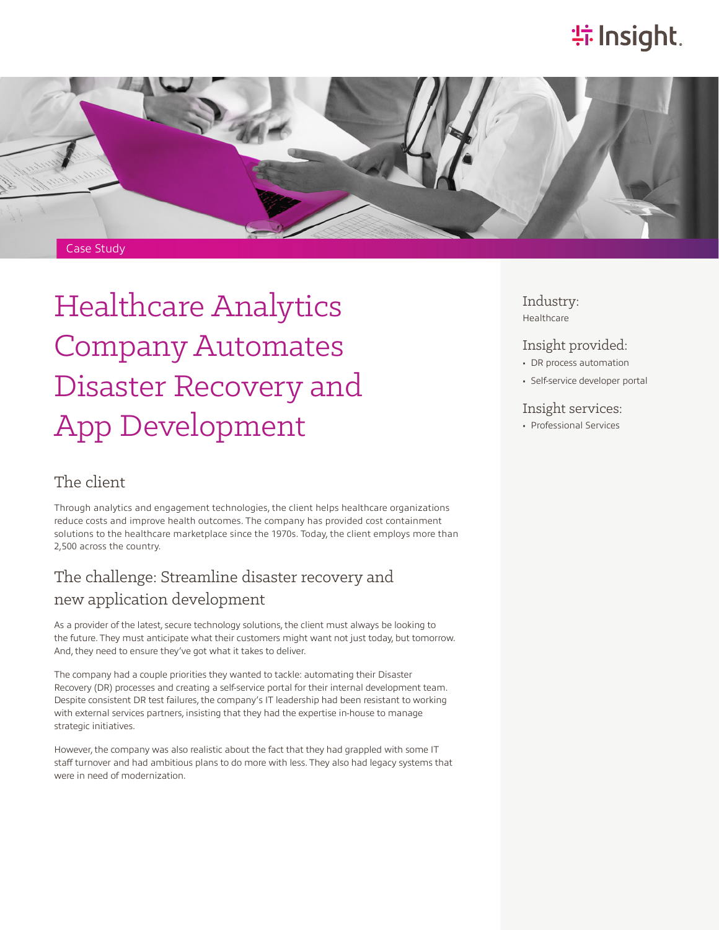# **特Insight**.



# Healthcare Analytics Company Automates Disaster Recovery and App Development

### The client

Through analytics and engagement technologies, the client helps healthcare organizations reduce costs and improve health outcomes. The company has provided cost containment solutions to the healthcare marketplace since the 1970s. Today, the client employs more than 2,500 across the country.

### The challenge: Streamline disaster recovery and new application development

As a provider of the latest, secure technology solutions, the client must always be looking to the future. They must anticipate what their customers might want not just today, but tomorrow. And, they need to ensure they've got what it takes to deliver.

The company had a couple priorities they wanted to tackle: automating their Disaster Recovery (DR) processes and creating a self-service portal for their internal development team. Despite consistent DR test failures, the company's IT leadership had been resistant to working with external services partners, insisting that they had the expertise in-house to manage strategic initiatives.

However, the company was also realistic about the fact that they had grappled with some IT staff turnover and had ambitious plans to do more with less. They also had legacy systems that were in need of modernization.

Industry: Healthcare

### Insight provided:

- DR process automation
- Self-service developer portal

#### Insight services:

• Professional Services